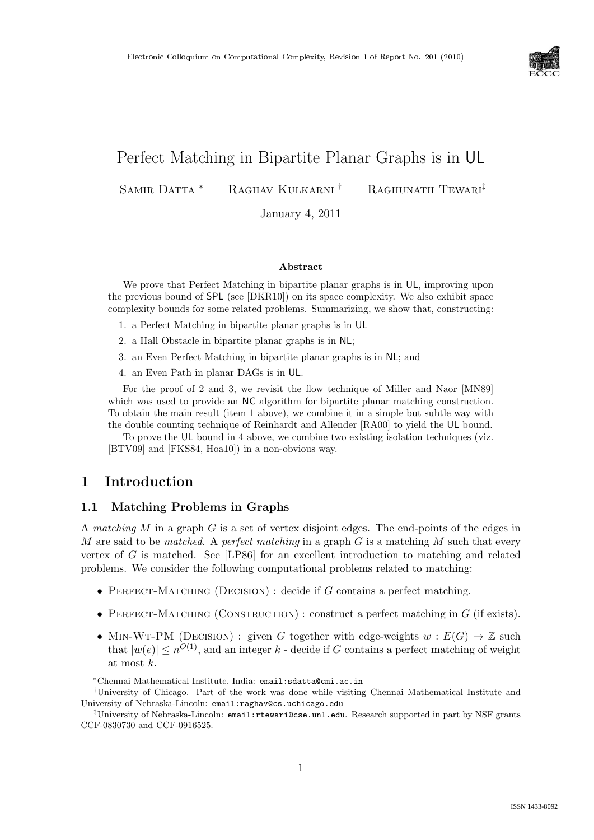

# Perfect Matching in Bipartite Planar Graphs is in UL

SAMIR DATTA <sup>\*</sup> RAGHAV KULKARNI<sup>†</sup> RAGHUNATH TEWARI<sup>‡</sup>

January 4, 2011

#### Abstract

We prove that Perfect Matching in bipartite planar graphs is in UL, improving upon the previous bound of SPL (see [DKR10]) on its space complexity. We also exhibit space complexity bounds for some related problems. Summarizing, we show that, constructing:

- 1. a Perfect Matching in bipartite planar graphs is in UL
- 2. a Hall Obstacle in bipartite planar graphs is in NL;
- 3. an Even Perfect Matching in bipartite planar graphs is in NL; and
- 4. an Even Path in planar DAGs is in UL.

For the proof of 2 and 3, we revisit the flow technique of Miller and Naor [MN89] which was used to provide an NC algorithm for bipartite planar matching construction. To obtain the main result (item 1 above), we combine it in a simple but subtle way with the double counting technique of Reinhardt and Allender [RA00] to yield the UL bound.

To prove the UL bound in 4 above, we combine two existing isolation techniques (viz. [BTV09] and [FKS84, Hoa10]) in a non-obvious way.

# 1 Introduction

### 1.1 Matching Problems in Graphs

A matching M in a graph G is a set of vertex disjoint edges. The end-points of the edges in M are said to be matched. A perfect matching in a graph  $G$  is a matching M such that every vertex of  $G$  is matched. See [LP86] for an excellent introduction to matching and related problems. We consider the following computational problems related to matching:

- PERFECT-MATCHING (DECISION) : decide if  $G$  contains a perfect matching.
- PERFECT-MATCHING (CONSTRUCTION) : construct a perfect matching in  $G$  (if exists).
- MIN-WT-PM (DECISION): given G together with edge-weights  $w : E(G) \to \mathbb{Z}$  such that  $|w(e)| \leq n^{O(1)}$ , and an integer k - decide if G contains a perfect matching of weight at most k.

<sup>∗</sup>Chennai Mathematical Institute, India: email:sdatta@cmi.ac.in

<sup>†</sup>University of Chicago. Part of the work was done while visiting Chennai Mathematical Institute and University of Nebraska-Lincoln: email:raghav@cs.uchicago.edu

<sup>‡</sup>University of Nebraska-Lincoln: email:rtewari@cse.unl.edu. Research supported in part by NSF grants CCF-0830730 and CCF-0916525.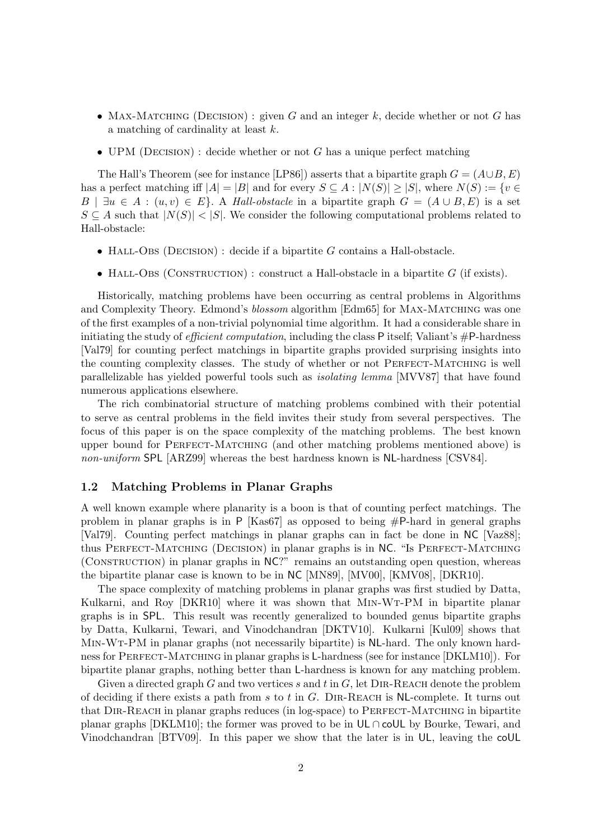- MAX-MATCHING (DECISION) : given G and an integer k, decide whether or not G has a matching of cardinality at least k.
- UPM (DECISION) : decide whether or not  $G$  has a unique perfect matching

The Hall's Theorem (see for instance [LP86]) asserts that a bipartite graph  $G = (A \cup B, E)$ has a perfect matching iff  $|A| = |B|$  and for every  $S \subseteq A : |N(S)| \ge |S|$ , where  $N(S) := \{v \in A\}$  $B \mid \exists u \in A : (u, v) \in E$ . A Hall-obstacle in a bipartite graph  $G = (A \cup B, E)$  is a set  $S \subseteq A$  such that  $|N(S)| < |S|$ . We consider the following computational problems related to Hall-obstacle:

- HALL-OBS (DECISION) : decide if a bipartite  $G$  contains a Hall-obstacle.
- HALL-OBS (CONSTRUCTION) : construct a Hall-obstacle in a bipartite  $G$  (if exists).

Historically, matching problems have been occurring as central problems in Algorithms and Complexity Theory. Edmond's blossom algorithm [Edm65] for MAX-MATCHING was one of the first examples of a non-trivial polynomial time algorithm. It had a considerable share in initiating the study of *efficient computation*, including the class P itself; Valiant's  $\#P$ -hardness [Val79] for counting perfect matchings in bipartite graphs provided surprising insights into the counting complexity classes. The study of whether or not PERFECT-MATCHING is well parallelizable has yielded powerful tools such as isolating lemma [MVV87] that have found numerous applications elsewhere.

The rich combinatorial structure of matching problems combined with their potential to serve as central problems in the field invites their study from several perspectives. The focus of this paper is on the space complexity of the matching problems. The best known upper bound for Perfect-Matching (and other matching problems mentioned above) is non-uniform SPL [ARZ99] whereas the best hardness known is NL-hardness [CSV84].

#### 1.2 Matching Problems in Planar Graphs

A well known example where planarity is a boon is that of counting perfect matchings. The problem in planar graphs is in P [Kas67] as opposed to being #P-hard in general graphs [Val79]. Counting perfect matchings in planar graphs can in fact be done in NC [Vaz88]; thus Perfect-Matching (Decision) in planar graphs is in NC. "Is Perfect-Matching (Construction) in planar graphs in NC?" remains an outstanding open question, whereas the bipartite planar case is known to be in NC [MN89], [MV00], [KMV08], [DKR10].

The space complexity of matching problems in planar graphs was first studied by Datta, Kulkarni, and Roy [DKR10] where it was shown that MIN-WT-PM in bipartite planar graphs is in SPL. This result was recently generalized to bounded genus bipartite graphs by Datta, Kulkarni, Tewari, and Vinodchandran [DKTV10]. Kulkarni [Kul09] shows that Min-Wt-PM in planar graphs (not necessarily bipartite) is NL-hard. The only known hardness for PERFECT-MATCHING in planar graphs is L-hardness (see for instance [DKLM10]). For bipartite planar graphs, nothing better than L-hardness is known for any matching problem.

Given a directed graph G and two vertices s and t in  $G$ , let DIR-REACH denote the problem of deciding if there exists a path from s to t in G. DIR-REACH is NL-complete. It turns out that Dir-Reach in planar graphs reduces (in log-space) to Perfect-Matching in bipartite planar graphs [DKLM10]; the former was proved to be in UL ∩ coUL by Bourke, Tewari, and Vinodchandran [BTV09]. In this paper we show that the later is in UL, leaving the coUL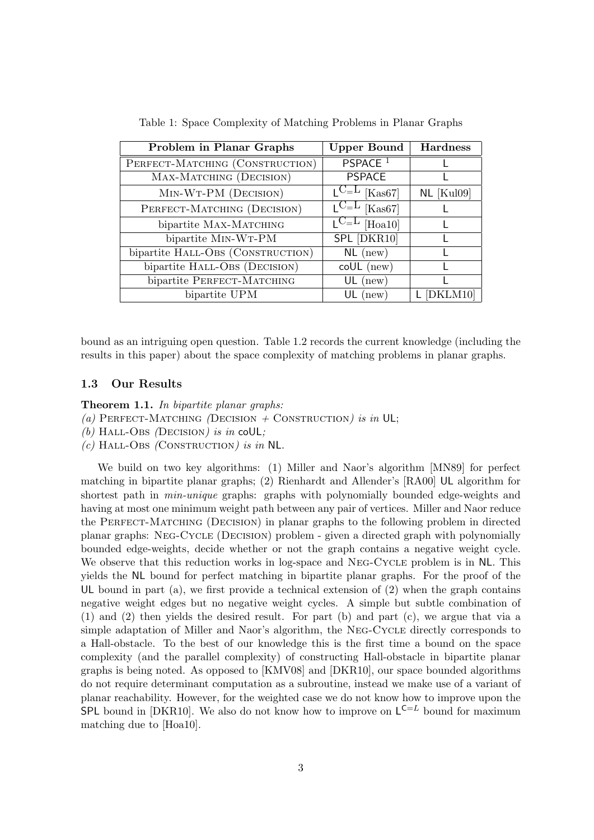| Problem in Planar Graphs          | <b>Upper Bound</b>                      | <b>Hardness</b> |
|-----------------------------------|-----------------------------------------|-----------------|
| PERFECT-MATCHING (CONSTRUCTION)   | PSPACE <sup>1</sup>                     |                 |
| MAX-MATCHING (DECISION)           | <b>PSPACE</b>                           |                 |
| MIN-WT-PM (DECISION)              | $L^{C=L}$ [Kas67]                       | $NL$ [Kul09]    |
| PERFECT-MATCHING (DECISION)       | $C_{\rm{L}}$<br>[Kas67]                 |                 |
| bipartite MAX-MATCHING            | $\mathsf{L} \cup \mathsf{L}$<br>[Hoa10] |                 |
| bipartite MIN-WT-PM               | SPL [DKR10]                             |                 |
| bipartite HALL-OBS (CONSTRUCTION) | $NL$ (new)                              |                 |
| bipartite HALL-OBS (DECISION)     | $\text{coll}$ (new)                     |                 |
| bipartite PERFECT-MATCHING        | $UL$ (new)                              |                 |
| bipartite UPM                     | $UL$ (new)                              |                 |

Table 1: Space Complexity of Matching Problems in Planar Graphs

bound as an intriguing open question. Table 1.2 records the current knowledge (including the results in this paper) about the space complexity of matching problems in planar graphs.

#### 1.3 Our Results

Theorem 1.1. In bipartite planar graphs:

(a) PERFECT-MATCHING (DECISION + CONSTRUCTION) is in UL;

- (b) HALL-OBS (DECISION) is in coUL;
- $(c)$  HALL-OBS (CONSTRUCTION) is in NL.

We build on two key algorithms: (1) Miller and Naor's algorithm [MN89] for perfect matching in bipartite planar graphs; (2) Rienhardt and Allender's [RA00] UL algorithm for shortest path in *min-unique* graphs: graphs with polynomially bounded edge-weights and having at most one minimum weight path between any pair of vertices. Miller and Naor reduce the Perfect-Matching (Decision) in planar graphs to the following problem in directed planar graphs: Neg-Cycle (Decision) problem - given a directed graph with polynomially bounded edge-weights, decide whether or not the graph contains a negative weight cycle. We observe that this reduction works in log-space and NEG-CYCLE problem is in NL. This yields the NL bound for perfect matching in bipartite planar graphs. For the proof of the UL bound in part (a), we first provide a technical extension of  $(2)$  when the graph contains negative weight edges but no negative weight cycles. A simple but subtle combination of (1) and (2) then yields the desired result. For part (b) and part (c), we argue that via a simple adaptation of Miller and Naor's algorithm, the Neg-Cycle directly corresponds to a Hall-obstacle. To the best of our knowledge this is the first time a bound on the space complexity (and the parallel complexity) of constructing Hall-obstacle in bipartite planar graphs is being noted. As opposed to [KMV08] and [DKR10], our space bounded algorithms do not require determinant computation as a subroutine, instead we make use of a variant of planar reachability. However, for the weighted case we do not know how to improve upon the **SPL** bound in [DKR10]. We also do not know how to improve on  $L^{C=L}$  bound for maximum matching due to [Hoa10].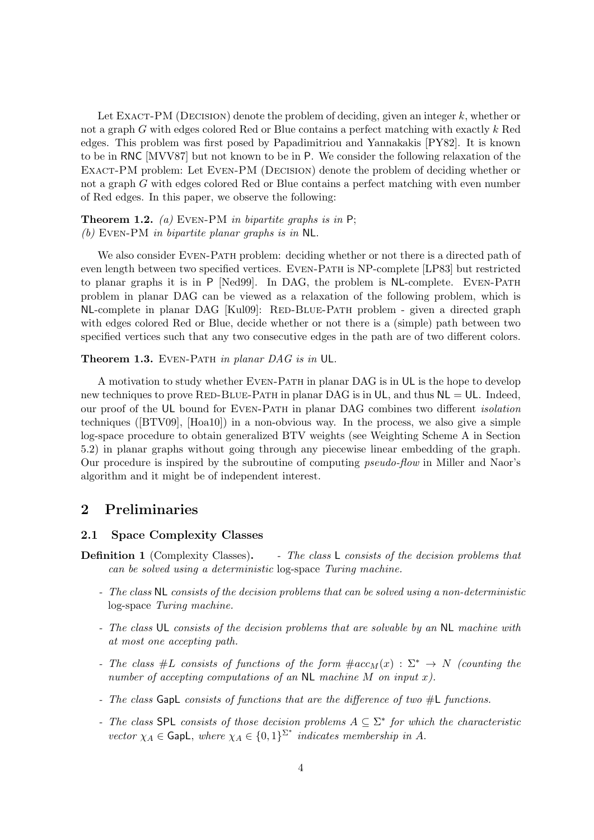Let EXACT-PM (DECISION) denote the problem of deciding, given an integer  $k$ , whether or not a graph G with edges colored Red or Blue contains a perfect matching with exactly k Red edges. This problem was first posed by Papadimitriou and Yannakakis [PY82]. It is known to be in RNC [MVV87] but not known to be in P. We consider the following relaxation of the EXACT-PM problem: Let EVEN-PM (DECISION) denote the problem of deciding whether or not a graph G with edges colored Red or Blue contains a perfect matching with even number of Red edges. In this paper, we observe the following:

**Theorem 1.2.** (a) EVEN-PM in bipartite graphs is in  $P$ ; (b) Even-PM in bipartite planar graphs is in NL.

We also consider EVEN-PATH problem: deciding whether or not there is a directed path of even length between two specified vertices. Even-Path is NP-complete [LP83] but restricted to planar graphs it is in P [Ned99]. In DAG, the problem is NL-complete. Even-Path problem in planar DAG can be viewed as a relaxation of the following problem, which is NL-complete in planar DAG [Kul09]: RED-BLUE-PATH problem - given a directed graph with edges colored Red or Blue, decide whether or not there is a (simple) path between two specified vertices such that any two consecutive edges in the path are of two different colors.

Theorem 1.3. EVEN-PATH in planar DAG is in UL.

A motivation to study whether Even-Path in planar DAG is in UL is the hope to develop new techniques to prove RED-BLUE-PATH in planar DAG is in UL, and thus  $NL = UL$ . Indeed, our proof of the UL bound for EVEN-PATH in planar DAG combines two different *isolation* techniques ([BTV09], [Hoa10]) in a non-obvious way. In the process, we also give a simple log-space procedure to obtain generalized BTV weights (see Weighting Scheme A in Section 5.2) in planar graphs without going through any piecewise linear embedding of the graph. Our procedure is inspired by the subroutine of computing pseudo-flow in Miller and Naor's algorithm and it might be of independent interest.

# 2 Preliminaries

#### 2.1 Space Complexity Classes

- **Definition 1** (Complexity Classes). The class L consists of the decision problems that can be solved using a deterministic log-space Turing machine.
	- The class NL consists of the decision problems that can be solved using a non-deterministic log-space Turing machine.
	- The class UL consists of the decision problems that are solvable by an NL machine with at most one accepting path.
	- The class  $#L$  consists of functions of the form  $\#acc_M(x) : \Sigma^* \to N$  (counting the number of accepting computations of an  $NL$  machine M on input x).
	- The class GapL consists of functions that are the difference of two #L functions.
	- The class SPL consists of those decision problems  $A \subseteq \Sigma^*$  for which the characteristic vector  $\chi_A \in \text{GapL}$ , where  $\chi_A \in \{0,1\}^{\Sigma^*}$  indicates membership in A.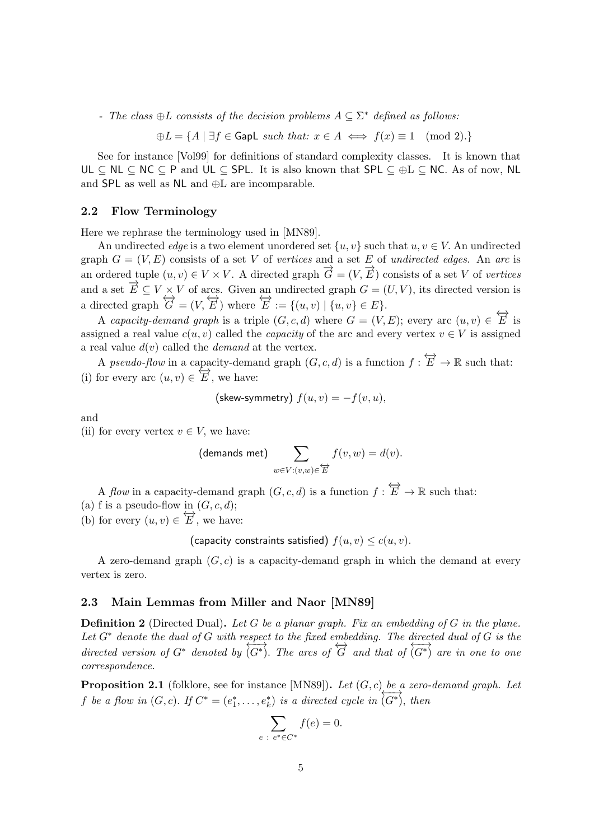- The class  $\oplus L$  consists of the decision problems  $A \subseteq \Sigma^*$  defined as follows:

 $\oplus L = \{A \mid \exists f \in \mathsf{GapL} \text{ such that: } x \in A \iff f(x) \equiv 1 \pmod{2} \}$ 

See for instance [Vol99] for definitions of standard complexity classes. It is known that UL  $\subseteq$  NL  $\subseteq$  NC  $\subseteq$  P and UL  $\subseteq$  SPL. It is also known that SPL  $\subseteq$   $\oplus$   $\subseteq$  NC. As of now, NL and SPL as well as NL and ⊕L are incomparable.

#### 2.2 Flow Terminology

Here we rephrase the terminology used in [MN89].

An undirected *edge* is a two element unordered set  $\{u, v\}$  such that  $u, v \in V$ . An undirected graph  $G = (V, E)$  consists of a set V of vertices and a set E of undirected edges. An arc is an ordered tuple  $(u, v) \in V \times V$ . A directed graph  $\overrightarrow{G} = (V, \overrightarrow{E})$  consists of a set V of vertices and a set  $\overrightarrow{E} \subseteq V \times V$  of arcs. Given an undirected graph  $G = (U, V)$ , its directed version is a directed graph  $\overleftrightarrow{G} = (V, \overleftrightarrow{E})$  where  $\overleftrightarrow{E} := \{(u, v) | \{u, v\} \in E\}.$ 

A capacity-demand graph is a triple  $(G, c, d)$  where  $G = (V, E)$ ; every arc  $(u, v) \in \overleftrightarrow{E}$  is assigned a real value  $c(u, v)$  called the *capacity* of the arc and every vertex  $v \in V$  is assigned a real value  $d(v)$  called the *demand* at the vertex.

A pseudo-flow in a capacity-demand graph  $(G, c, d)$  is a function  $f : \overleftrightarrow{E} \to \mathbb{R}$  such that: (i) for every arc  $(u, v) \in \overleftrightarrow{E}$ , we have:

$$
(skew-symmetry) f(u, v) = -f(v, u),
$$

and

(ii) for every vertex  $v \in V$ , we have:

(demands met) 
$$
\sum_{w \in V : (v,w) \in \overleftrightarrow{E}} f(v,w) = d(v).
$$

A flow in a capacity-demand graph  $(G, c, d)$  is a function  $f : \overleftrightarrow{E} \to \mathbb{R}$  such that: (a) f is a pseudo-flow in  $(G, c, d)$ ;

(b) for every  $(u, v) \in \overleftrightarrow{E}$ , we have:

(capacity constraints satisfied)  $f(u, v) \le c(u, v)$ .

A zero-demand graph  $(G, c)$  is a capacity-demand graph in which the demand at every vertex is zero.

#### 2.3 Main Lemmas from Miller and Naor [MN89]

**Definition 2** (Directed Dual). Let G be a planar graph. Fix an embedding of G in the plane. Let  $G^*$  denote the dual of G with respect to the fixed embedding. The directed dual of G is the Let G unione the data of G which respect to the fascal embedding. The directed data of  $G^*$  or to one to one to one correspondence.

**Proposition 2.1** (folklore, see for instance [MN89]). Let  $(G, c)$  be a zero-demand graph. Let f be a flow in  $(G, c)$ . If  $C^* = (e_1^*, \ldots, e_k^*)$  is a directed cycle in  $\overleftrightarrow{(G^*)}$ , then

$$
\sum_{e \; : \; e^* \in C^*} f(e) = 0.
$$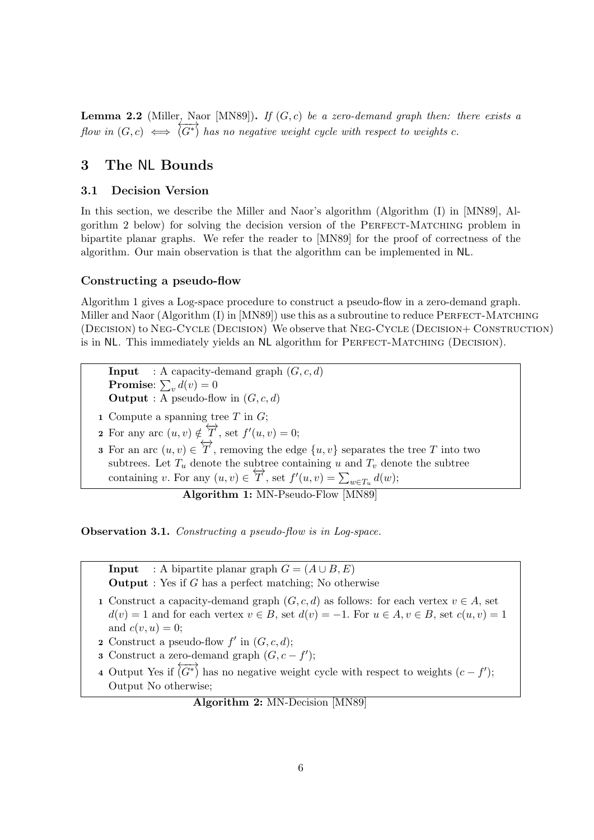**Lemma 2.2** (Miller, Naor [MN89]). If  $(G, c)$  be a zero-demand graph then: there exists a flow in  $(G, c) \iff$  $\overline{(G^*)}$  has no negative weight cycle with respect to weights c.

# 3 The NL Bounds

## 3.1 Decision Version

In this section, we describe the Miller and Naor's algorithm (Algorithm (I) in [MN89], Algorithm 2 below) for solving the decision version of the Perfect-Matching problem in bipartite planar graphs. We refer the reader to [MN89] for the proof of correctness of the algorithm. Our main observation is that the algorithm can be implemented in NL.

## Constructing a pseudo-flow

Algorithm 1 gives a Log-space procedure to construct a pseudo-flow in a zero-demand graph. Miller and Naor (Algorithm (I) in [MN89]) use this as a subroutine to reduce PERFECT-MATCHING (Decision) to Neg-Cycle (Decision) We observe that Neg-Cycle (Decision+ Construction) is in NL. This immediately yields an NL algorithm for PERFECT-MATCHING (DECISION).

**Input** : A capacity-demand graph  $(G, c, d)$ **Promise**:  $\sum_{v} d(v) = 0$ **Output** : A pseudo-flow in  $(G, c, d)$ 

1 Compute a spanning tree  $T$  in  $G$ ;

2 For any arc  $(u, v) \notin \overleftrightarrow{T}$ , set  $f'(u, v) = 0$ ;

3 For an arc  $(u, v) \in \overleftrightarrow{T}$ , removing the edge  $\{u, v\}$  separates the tree T into two subtrees. Let  $T_u$  denote the subtree containing u and  $T_v$  denote the subtree containing v. For any  $(u, v) \in \overleftrightarrow{T}$ , set  $f'(u, v) = \sum_{w \in T_u} d(w)$ ;

Algorithm 1: MN-Pseudo-Flow [MN89]

Observation 3.1. Constructing a pseudo-flow is in Log-space.

**Input** : A bipartite planar graph  $G = (A \cup B, E)$ **Output** : Yes if  $G$  has a perfect matching; No otherwise

- 1 Construct a capacity-demand graph  $(G, c, d)$  as follows: for each vertex  $v \in A$ , set  $d(v) = 1$  and for each vertex  $v \in B$ , set  $d(v) = -1$ . For  $u \in A$ ,  $v \in B$ , set  $c(u, v) = 1$ and  $c(v, u) = 0$ :
- 2 Construct a pseudo-flow  $f'$  in  $(G, c, d)$ ;
- 3 Construct a zero-demand graph  $(G, c f')$ ;
- 4 Output Yes if  $\overleftrightarrow{(G^*)}$  has no negative weight cycle with respect to weights  $(c - f')$ ; Output No otherwise;

Algorithm 2: MN-Decision [MN89]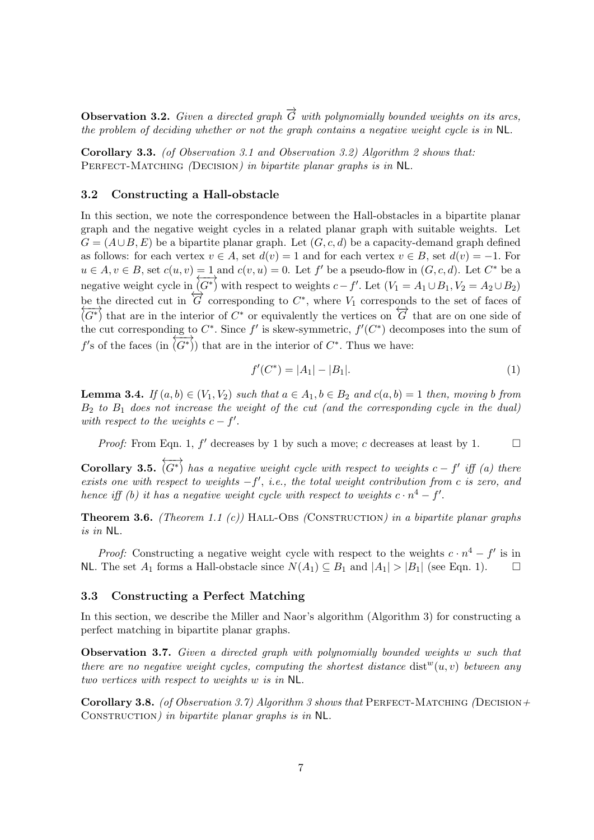**Observation 3.2.** Given a directed graph  $\vec{G}$  with polynomially bounded weights on its arcs. the problem of deciding whether or not the graph contains a negative weight cycle is in NL.

Corollary 3.3. (of Observation 3.1 and Observation 3.2) Algorithm 2 shows that: PERFECT-MATCHING (DECISION) in bipartite planar graphs is in NL.

#### 3.2 Constructing a Hall-obstacle

In this section, we note the correspondence between the Hall-obstacles in a bipartite planar graph and the negative weight cycles in a related planar graph with suitable weights. Let  $G = (A \cup B, E)$  be a bipartite planar graph. Let  $(G, c, d)$  be a capacity-demand graph defined as follows: for each vertex  $v \in A$ , set  $d(v) = 1$  and for each vertex  $v \in B$ , set  $d(v) = -1$ . For  $u \in A, v \in B$ , set  $c(u, v) = 1$  and  $c(v, u) = 0$ . Let f' be a pseudo-flow in  $(G, c, d)$ . Let  $C^*$  be a negative weight cycle in  $\overline{(G^*)}$  with respect to weights  $c - f'$ . Let  $(V_1 = A_1 \cup B_1, V_2 = A_2 \cup B_2)$ be the directed cut in  $\overleftrightarrow{G}$  corresponding to  $C^*$ , where  $V_1$  corresponds to the set of faces of  $\overleftrightarrow{G}$  $\overline{(G^*)}$  that are in the interior of  $C^*$  or equivalently the vertices on  $\overline{G}$  that are on one side of the cut corresponding to  $C^*$ . Since  $f'$  is skew-symmetric,  $f'(C^*)$  decomposes into the sum of f's of the faces (in  $(G^*)$ ) that are in the interior of  $C^*$ . Thus we have:

$$
f'(C^*) = |A_1| - |B_1|.\tag{1}
$$

**Lemma 3.4.** If  $(a, b) \in (V_1, V_2)$  such that  $a \in A_1, b \in B_2$  and  $c(a, b) = 1$  then, moving b from  $B_2$  to  $B_1$  does not increase the weight of the cut (and the corresponding cycle in the dual) with respect to the weights  $c - f'$ .

*Proof:* From Eqn. 1,  $f'$  decreases by 1 by such a move; c decreases at least by 1.

Corollary 3.5.  $\overleftrightarrow{(G^*)}$  has a negative weight cycle with respect to weights  $c - f'$  iff (a) there exists one with respect to weights  $-f'$ , i.e., the total weight contribution from c is zero, and hence iff (b) it has a negative weight cycle with respect to weights  $c \cdot n^4 - f'$ .

**Theorem 3.6.** (Theorem 1.1 (c)) HALL-OBS (CONSTRUCTION) in a bipartite planar graphs is in NL.

*Proof:* Constructing a negative weight cycle with respect to the weights  $c \cdot n^4 - f'$  is in NL. The set  $A_1$  forms a Hall-obstacle since  $N(A_1) \subseteq B_1$  and  $|A_1| > |B_1|$  (see Eqn. 1). □

#### 3.3 Constructing a Perfect Matching

In this section, we describe the Miller and Naor's algorithm (Algorithm 3) for constructing a perfect matching in bipartite planar graphs.

Observation 3.7. Given a directed graph with polynomially bounded weights w such that there are no negative weight cycles, computing the shortest distance  $dist^w(u, v)$  between any two vertices with respect to weights w is in NL.

Corollary 3.8. (of Observation 3.7) Algorithm 3 shows that PERFECT-MATCHING (DECISION+ CONSTRUCTION) in bipartite planar graphs is in NL.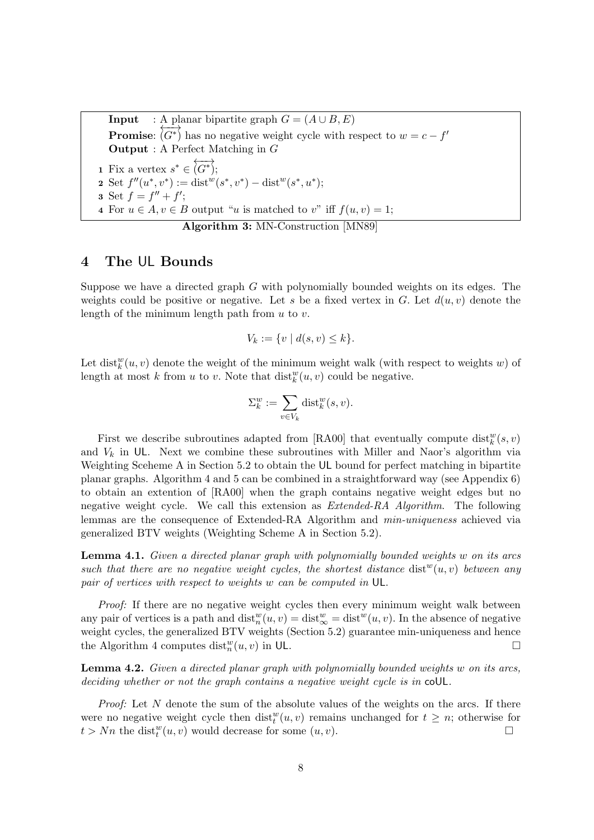**Input** : A planar bipartite graph  $G = (A \cup B, E)$ Promise:  $\overline{(G^*)}$  has no negative weight cycle with respect to  $w = c - f'$ Output : A Perfect Matching in G 1 Fix a vertex  $s^* \in \overleftrightarrow{(G^*)};$ 2 Set  $f''(u^*, v^*) := \text{dist}^w(s^*, v^*) - \text{dist}^w(s^*, u^*);$ **3** Set  $f = f'' + f'$ ; 4 For  $u \in A, v \in B$  output "u is matched to v" iff  $f(u, v) = 1$ ; Algorithm 3: MN-Construction [MN89]

## 4 The UL Bounds

Suppose we have a directed graph G with polynomially bounded weights on its edges. The weights could be positive or negative. Let s be a fixed vertex in G. Let  $d(u, v)$  denote the length of the minimum length path from  $u$  to  $v$ .

$$
V_k := \{ v \mid d(s, v) \le k \}.
$$

Let  $dist_k^w(u, v)$  denote the weight of the minimum weight walk (with respect to weights w) of length at most k from u to v. Note that  $dist_k^w(u, v)$  could be negative.

$$
\Sigma_k^w := \sum_{v \in V_k} \text{dist}_k^w(s, v).
$$

First we describe subroutines adapted from [RA00] that eventually compute  $dist_k^w(s, v)$ and  $V_k$  in UL. Next we combine these subroutines with Miller and Naor's algorithm via Weighting Sceheme A in Section 5.2 to obtain the UL bound for perfect matching in bipartite planar graphs. Algorithm 4 and 5 can be combined in a straightforward way (see Appendix 6) to obtain an extention of [RA00] when the graph contains negative weight edges but no negative weight cycle. We call this extension as *Extended-RA Algorithm*. The following lemmas are the consequence of Extended-RA Algorithm and *min-uniqueness* achieved via generalized BTV weights (Weighting Scheme A in Section 5.2).

**Lemma 4.1.** Given a directed planar graph with polynomially bounded weights w on its arcs such that there are no negative weight cycles, the shortest distance  $dist^w(u, v)$  between any pair of vertices with respect to weights w can be computed in UL.

Proof: If there are no negative weight cycles then every minimum weight walk between any pair of vertices is a path and  $dist_n^w(u, v) = dist_{\infty}^w = dist^w(u, v)$ . In the absence of negative weight cycles, the generalized BTV weights (Section 5.2) guarantee min-uniqueness and hence the Algorithm 4 computes  $dist_n^w(u, v)$  in UL.

Lemma 4.2. Given a directed planar graph with polynomially bounded weights w on its arcs, deciding whether or not the graph contains a negative weight cycle is in coUL.

Proof: Let N denote the sum of the absolute values of the weights on the arcs. If there were no negative weight cycle then  $dist_t^w(u, v)$  remains unchanged for  $t \geq n$ ; otherwise for  $t > Nn$  the dist<sup>w</sup> $(u, v)$  would decrease for some  $(u, v)$ .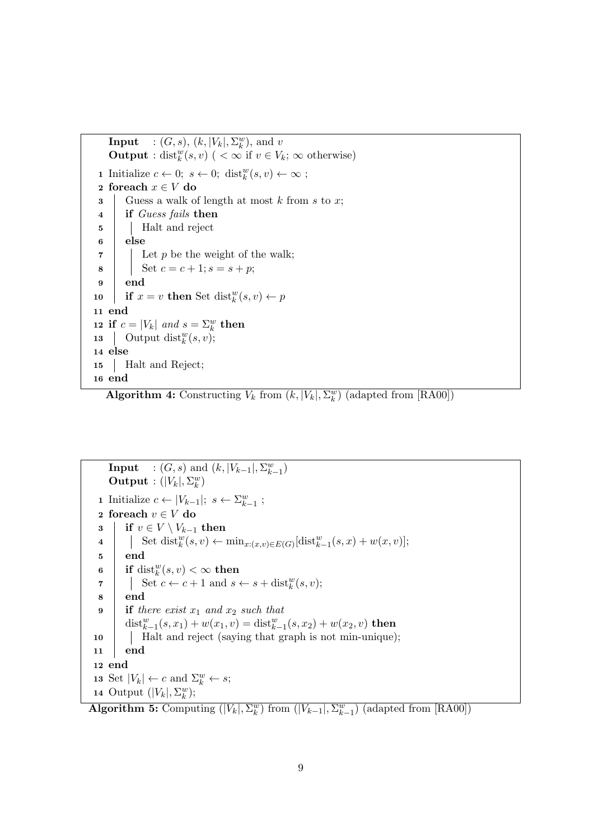```
Input : (G, s), (k, |V_k|, \Sigma_k^w), and v
    Output : dist<sup>w</sup>(s,v) ( < \infty if v \in V<sub>k</sub>; \infty otherwise)
 1 Initialize c \leftarrow 0; s \leftarrow 0; \text{dist}_{k}^{w}(s, v) \leftarrow \infty;2 foreach x \in V do
 \mathbf{3} Guess a walk of length at most k from s to x;
 4 if Guess fails then
 5 | Halt and reject
 6 else
 \mathbf{7} | Let p be the weight of the walk;
 8 | Set c = c + 1; s = s + p;
 9 end
10 if x = v then Set dist_k^w(s, v) \leftarrow p11 end
12 if c = |V_k| and s = \sum_k^w then
13 | Output dist_{k}^{w}(s, v);14 else
15 Halt and Reject;
16 end
```
**Algorithm 4:** Constructing  $V_k$  from  $(k, |V_k|, \Sigma_k^w)$  (adapted from [RA00])

**Input** :  $(G, s)$  and  $(k, |V_{k-1}|, \sum_{k=1}^{w})$  $\textbf{Output}: (|V_k|, \Sigma_k^w)$ 1 Initialize  $c \leftarrow |V_{k-1}|; s \leftarrow \sum_{k=1}^{w};$ 2 foreach  $v \in V$  do 3 if  $v \in V \setminus V_{k-1}$  then 4 Set dist $\mathcal{L}(s, v) \leftarrow \min_{x: (x,v) \in E(G)}[\text{dist}_{k-1}^w(s, x) + w(x, v)];$ 5 end  $\quad \textbf{if} \; \text{dist}_k^w(s,v) < \infty \; \textbf{then}$ 7 | Set  $c \leftarrow c + 1$  and  $s \leftarrow s + \text{dist}_k^w(s, v);$ 8 end 9 if there exist  $x_1$  and  $x_2$  such that dist $_{k-1}^{w}(s,x_1)+w(x_1,v)=\text{dist}_{k-1}^{w}(s,x_2)+w(x_2,v)$  then 10 Halt and reject (saying that graph is not min-unique); 11 end 12 end 13 Set  $|V_k| \leftarrow c$  and  $\Sigma_k^w \leftarrow s$ ; 14 Output  $(|V_k|, \Sigma_k^w);$ 

Algorithm 5: Computing  $(|V_k|, \Sigma_k^w)$  from  $(|V_{k-1}|, \Sigma_{k-1}^w)$  (adapted from [RA00])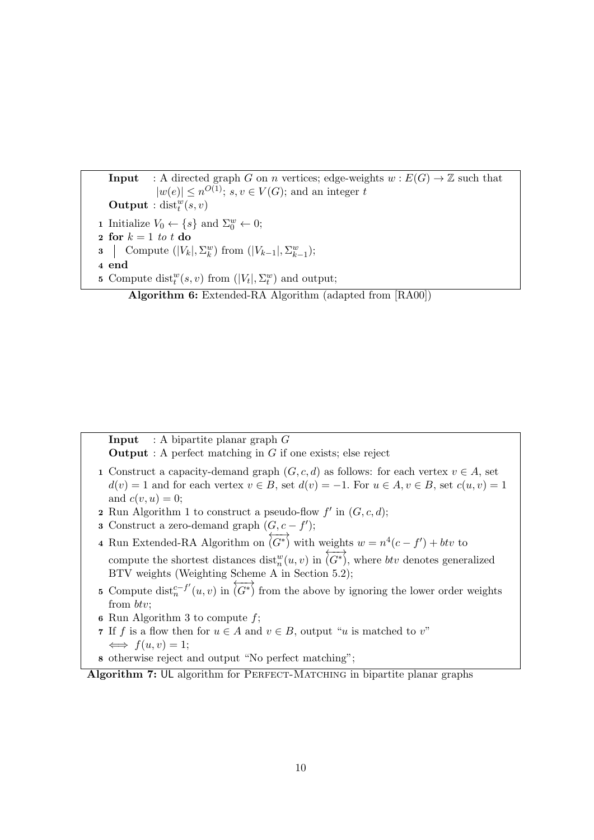**Input** : A directed graph G on n vertices; edge-weights  $w : E(G) \to \mathbb{Z}$  such that  $|w(e)| \leq n^{O(1)}$ ; s,  $v \in V(G)$ ; and an integer t **Output** :  $dist_t^w(s, v)$ **1** Initialize  $V_0 \leftarrow \{s\}$  and  $\Sigma_0^w \leftarrow 0;$ 2 for  $k = 1$  to t do **3** Compute  $(|V_k|, \Sigma_k^w)$  from  $(|V_{k-1}|, \Sigma_{k-1}^w);$ 4 end **5** Compute dist<sup>*w*</sup>(*s*, *v*) from (| $V_t$ |,  $\Sigma_t^w$ ) and output; Algorithm 6: Extended-RA Algorithm (adapted from [RA00])

**Input** : A bipartite planar graph  $G$ 

**Output** : A perfect matching in  $G$  if one exists; else reject

- 1 Construct a capacity-demand graph  $(G, c, d)$  as follows: for each vertex  $v \in A$ , set  $d(v) = 1$  and for each vertex  $v \in B$ , set  $d(v) = -1$ . For  $u \in A$ ,  $v \in B$ , set  $c(u, v) = 1$ and  $c(v, u) = 0$ ;
- **2** Run Algorithm 1 to construct a pseudo-flow  $f'$  in  $(G, c, d)$ ;
- 3 Construct a zero-demand graph  $(G, c f')$ ;
- 4 Run Extended-RA Algorithm on  $\overrightarrow{(G^*)}$  with weights  $w = n^4(c - f') + btv$  to compute the shortest distances  $dist_n^w(u, v)$  in  $\langle G^* \rangle$ , where *btv* denotes generalized BTV weights (Weighting Scheme A in Section 5.2);
- 5 Compute dist ${}_{n}^{c-f'}$  $_{n}^{c-f'}(u,v)$  in  $\overleftrightarrow{(G^*)}$  from the above by ignoring the lower order weights from btv;
- 6 Run Algorithm 3 to compute  $f$ ;
- 7 If f is a flow then for  $u \in A$  and  $v \in B$ , output "u is matched to v"  $\iff$   $f(u, v) = 1;$
- 8 otherwise reject and output "No perfect matching";

Algorithm 7: UL algorithm for PERFECT-MATCHING in bipartite planar graphs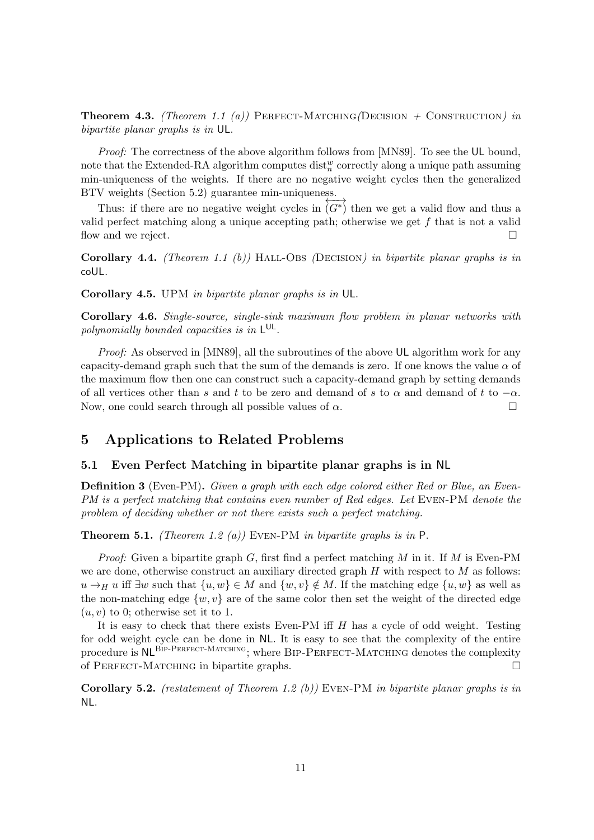**Theorem 4.3.** (Theorem 1.1 (a)) PERFECT-MATCHING(DECISION + CONSTRUCTION) in bipartite planar graphs is in UL.

Proof: The correctness of the above algorithm follows from [MN89]. To see the UL bound, note that the Extended-RA algorithm computes  $\text{dist}_{n}^{w}$  correctly along a unique path assuming min-uniqueness of the weights. If there are no negative weight cycles then the generalized BTV weights (Section 5.2) guarantee min-uniqueness.

Thus: if there are no negative weight cycles in  $\overleftrightarrow{(G^*)}$  then we get a valid flow and thus a valid perfect matching along a unique accepting path; otherwise we get f that is not a valid flow and we reject.  $\Box$ 

Corollary 4.4. (Theorem 1.1 (b)) HALL-OBS (DECISION) in bipartite planar graphs is in coUL.

Corollary 4.5. UPM in bipartite planar graphs is in UL.

Corollary 4.6. Single-source, single-sink maximum flow problem in planar networks with polynomially bounded capacities is in  $L^{UL}$ .

*Proof:* As observed in [MN89], all the subroutines of the above UL algorithm work for any capacity-demand graph such that the sum of the demands is zero. If one knows the value  $\alpha$  of the maximum flow then one can construct such a capacity-demand graph by setting demands of all vertices other than s and t to be zero and demand of s to  $\alpha$  and demand of t to  $-\alpha$ . Now, one could search through all possible values of  $\alpha$ .

# 5 Applications to Related Problems

#### 5.1 Even Perfect Matching in bipartite planar graphs is in NL

Definition 3 (Even-PM). Given a graph with each edge colored either Red or Blue, an Even-PM is a perfect matching that contains even number of Red edges. Let EVEN-PM denote the problem of deciding whether or not there exists such a perfect matching.

**Theorem 5.1.** (Theorem 1.2 (a)) EVEN-PM in bipartite graphs is in  $P$ .

*Proof:* Given a bipartite graph G, first find a perfect matching M in it. If M is Even-PM we are done, otherwise construct an auxiliary directed graph  $H$  with respect to  $M$  as follows:  $u \rightarrow_H u$  iff  $\exists w$  such that  $\{u, w\} \in M$  and  $\{w, v\} \notin M$ . If the matching edge  $\{u, w\}$  as well as the non-matching edge  $\{w, v\}$  are of the same color then set the weight of the directed edge  $(u, v)$  to 0; otherwise set it to 1.

It is easy to check that there exists Even-PM iff H has a cycle of odd weight. Testing for odd weight cycle can be done in NL. It is easy to see that the complexity of the entire procedure is NL<sup>BIP-PERFECT-MATCHING</sup>; where BIP-PERFECT-MATCHING denotes the complexity of PERFECT-MATCHING in bipartite graphs.  $\square$ 

**Corollary 5.2.** (restatement of Theorem 1.2 (b)) EVEN-PM in bipartite planar graphs is in NL.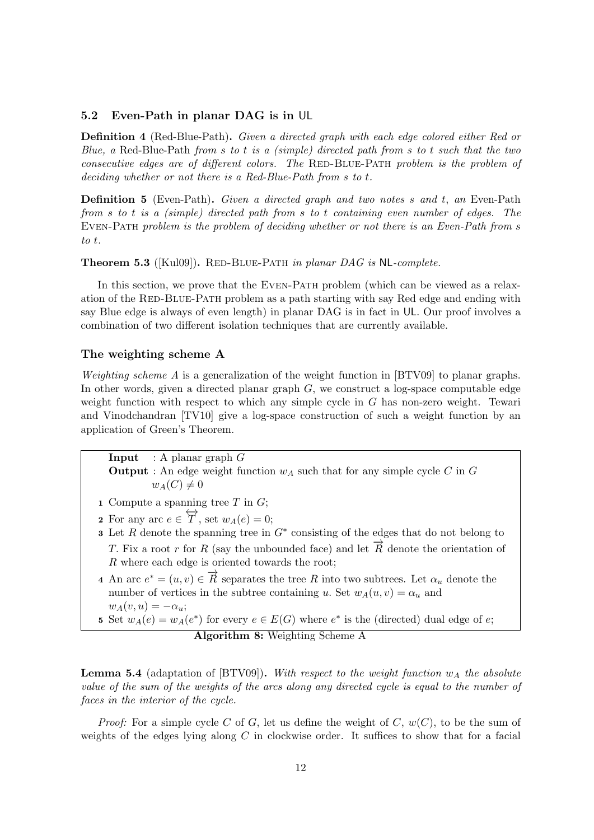#### 5.2 Even-Path in planar DAG is in UL

Definition 4 (Red-Blue-Path). Given a directed graph with each edge colored either Red or Blue, a Red-Blue-Path from s to t is a (simple) directed path from s to t such that the two  $consecutive$  edges are of different colors. The RED-BLUE-PATH problem is the problem of deciding whether or not there is a Red-Blue-Path from s to t.

**Definition 5** (Even-Path). Given a directed graph and two notes s and t, an Even-Path from s to t is a (simple) directed path from s to t containing even number of edges. The Even-Path problem is the problem of deciding whether or not there is an Even-Path from s to t.

**Theorem 5.3** ([Kul09]). RED-BLUE-PATH in planar DAG is NL-complete.

In this section, we prove that the Even-Path problem (which can be viewed as a relaxation of the RED-BLUE-PATH problem as a path starting with say Red edge and ending with say Blue edge is always of even length) in planar DAG is in fact in UL. Our proof involves a combination of two different isolation techniques that are currently available.

#### The weighting scheme A

Weighting scheme A is a generalization of the weight function in  $BTV09$  to planar graphs. In other words, given a directed planar graph  $G$ , we construct a log-space computable edge weight function with respect to which any simple cycle in  $G$  has non-zero weight. Tewari and Vinodchandran [TV10] give a log-space construction of such a weight function by an application of Green's Theorem.

- **Input** : A planar graph  $G$ **Output**: An edge weight function  $w_A$  such that for any simple cycle C in G  $w_A(C) \neq 0$
- 1 Compute a spanning tree  $T$  in  $G$ ;
- 2 For any arc  $e \in \overleftrightarrow{T}$ , set  $w_A(e) = 0$ ;
- **3** Let R denote the spanning tree in  $G^*$  consisting of the edges that do not belong to T. Fix a root r for R (say the unbounded face) and let  $\vec{R}$  denote the orientation of R where each edge is oriented towards the root;
- 4 An arc  $e^* = (u, v) \in \overrightarrow{R}$  separates the tree R into two subtrees. Let  $\alpha_u$  denote the number of vertices in the subtree containing u. Set  $w_A(u, v) = \alpha_u$  and  $w_A(v, u) = -\alpha_u;$
- 5 Set  $w_A(e) = w_A(e^*)$  for every  $e \in E(G)$  where  $e^*$  is the (directed) dual edge of  $e$ ; Algorithm 8: Weighting Scheme A

**Lemma 5.4** (adaptation of [BTV09]). With respect to the weight function  $w_A$  the absolute value of the sum of the weights of the arcs along any directed cycle is equal to the number of faces in the interior of the cycle.

*Proof:* For a simple cycle C of G, let us define the weight of C,  $w(C)$ , to be the sum of weights of the edges lying along  $C$  in clockwise order. It suffices to show that for a facial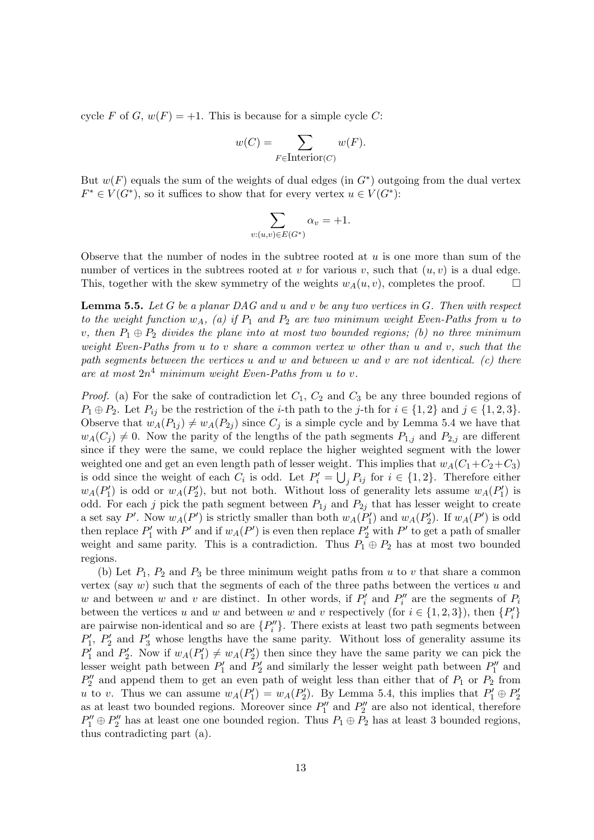cycle F of G,  $w(F) = +1$ . This is because for a simple cycle C:

$$
w(C) = \sum_{F \in \text{Interior}(C)} w(F).
$$

But  $w(F)$  equals the sum of the weights of dual edges (in  $G^*$ ) outgoing from the dual vertex  $F^* \in V(G^*)$ , so it suffices to show that for every vertex  $u \in V(G^*)$ :

$$
\sum_{v:(u,v)\in E(G^*)}\alpha_v=+1.
$$

Observe that the number of nodes in the subtree rooted at  $u$  is one more than sum of the number of vertices in the subtrees rooted at v for various v, such that  $(u, v)$  is a dual edge. This, together with the skew symmetry of the weights  $w_A(u, v)$ , completes the proof.  $\Box$ 

**Lemma 5.5.** Let G be a planar DAG and u and v be any two vertices in  $G$ . Then with respect to the weight function  $w_A$ , (a) if  $P_1$  and  $P_2$  are two minimum weight Even-Paths from u to v, then  $P_1 \oplus P_2$  divides the plane into at most two bounded regions; (b) no three minimum weight Even-Paths from u to v share a common vertex w other than u and v, such that the path segments between the vertices u and w and between w and v are not identical. (c) there are at most  $2n^4$  minimum weight Even-Paths from u to v.

*Proof.* (a) For the sake of contradiction let  $C_1$ ,  $C_2$  and  $C_3$  be any three bounded regions of  $P_1 \oplus P_2$ . Let  $P_{ij}$  be the restriction of the *i*-th path to the *j*-th for  $i \in \{1,2\}$  and  $j \in \{1,2,3\}$ . Observe that  $w_A(P_{1j}) \neq w_A(P_{2j})$  since  $C_j$  is a simple cycle and by Lemma 5.4 we have that  $w_A(C_i) \neq 0$ . Now the parity of the lengths of the path segments  $P_{1,j}$  and  $P_{2,j}$  are different since if they were the same, we could replace the higher weighted segment with the lower weighted one and get an even length path of lesser weight. This implies that  $w_A(C_1+C_2+C_3)$ is odd since the weight of each  $C_i$  is odd. Let  $P'_i = \bigcup_j P_{ij}$  for  $i \in \{1,2\}$ . Therefore either  $w_A(P'_1)$  is odd or  $w_A(P'_2)$ , but not both. Without loss of generality lets assume  $w_A(P'_1)$  is odd. For each j pick the path segment between  $P_{1j}$  and  $P_{2j}$  that has lesser weight to create a set say P'. Now  $w_A(P')$  is strictly smaller than both  $w_A(P'_1)$  and  $w_A(P'_2)$ . If  $w_A(P')$  is odd then replace  $P'_1$  with  $P'$  and if  $w_A(P')$  is even then replace  $P'_2$  with  $P'$  to get a path of smaller weight and same parity. This is a contradiction. Thus  $P_1 \oplus P_2$  has at most two bounded regions.

(b) Let  $P_1$ ,  $P_2$  and  $P_3$  be three minimum weight paths from u to v that share a common vertex (say  $w$ ) such that the segments of each of the three paths between the vertices  $u$  and w and between w and v are distinct. In other words, if  $P'_i$  and  $P''_i$  are the segments of  $P_i$ between the vertices u and w and between w and v respectively (for  $i \in \{1, 2, 3\}$ ), then  $\{P'_i\}$ are pairwise non-identical and so are  $\{P''_i\}$ . There exists at least two path segments between  $P'_1$ ,  $P'_2$  and  $P'_3$  whose lengths have the same parity. Without loss of generality assume its  $P'_1$  and  $P'_2$ . Now if  $w_A(P'_1) \neq w_A(P'_2)$  then since they have the same parity we can pick the lesser weight path between  $P'_1$  and  $P'_2$  and similarly the lesser weight path between  $P''_1$  and  $P_2''$  and append them to get an even path of weight less than either that of  $P_1$  or  $P_2$  from u to v. Thus we can assume  $w_A(P'_1) = w_A(P'_2)$ . By Lemma 5.4, this implies that  $P'_1 \oplus P'_2$ as at least two bounded regions. Moreover since  $P_1''$  and  $P_2''$  are also not identical, therefore  $P''_1 \oplus P''_2$  has at least one one bounded region. Thus  $P_1 \oplus P_2$  has at least 3 bounded regions, thus contradicting part (a).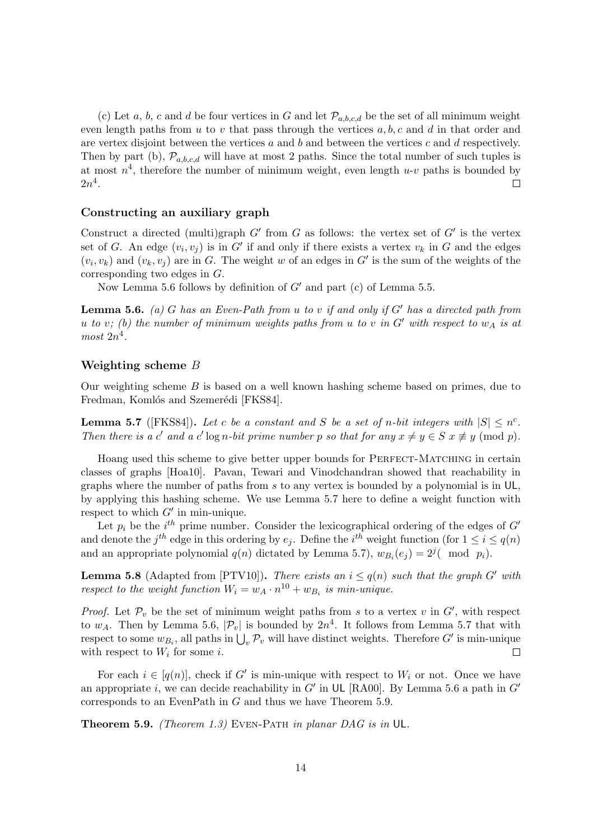(c) Let a, b, c and d be four vertices in G and let  $\mathcal{P}_{a,b,c,d}$  be the set of all minimum weight even length paths from u to v that pass through the vertices  $a, b, c$  and d in that order and are vertex disjoint between the vertices  $a$  and  $b$  and between the vertices  $c$  and  $d$  respectively. Then by part (b),  $\mathcal{P}_{a,b,c,d}$  will have at most 2 paths. Since the total number of such tuples is at most  $n^4$ , therefore the number of minimum weight, even length  $u$ -v paths is bounded by  $2n^4$ .  $\Box$ 

#### Constructing an auxiliary graph

Construct a directed (multi)graph  $G'$  from  $G$  as follows: the vertex set of  $G'$  is the vertex set of G. An edge  $(v_i, v_j)$  is in G' if and only if there exists a vertex  $v_k$  in G and the edges  $(v_i, v_k)$  and  $(v_k, v_j)$  are in G. The weight w of an edges in G' is the sum of the weights of the corresponding two edges in G.

Now Lemma 5.6 follows by definition of  $G'$  and part (c) of Lemma 5.5.

**Lemma 5.6.** (a) G has an Even-Path from u to v if and only if  $G'$  has a directed path from u to v; (b) the number of minimum weights paths from u to v in  $G'$  with respect to  $w_A$  is at  $most\ 2n^4$ .

#### Weighting scheme B

Our weighting scheme  $B$  is based on a well known hashing scheme based on primes, due to Fredman, Komlós and Szemerédi [FKS84].

**Lemma 5.7** ([FKS84]). Let c be a constant and S be a set of n-bit integers with  $|S| \le n^c$ . Then there is a c' and a c' log n-bit prime number p so that for any  $x \neq y \in S$   $x \not\equiv y \pmod{p}$ .

Hoang used this scheme to give better upper bounds for PERFECT-MATCHING in certain classes of graphs [Hoa10]. Pavan, Tewari and Vinodchandran showed that reachability in graphs where the number of paths from  $s$  to any vertex is bounded by a polynomial is in UL, by applying this hashing scheme. We use Lemma 5.7 here to define a weight function with respect to which  $G'$  in min-unique.

Let  $p_i$  be the  $i^{th}$  prime number. Consider the lexicographical ordering of the edges of  $G'$ and denote the  $j^{th}$  edge in this ordering by  $e_j$ . Define the  $i^{th}$  weight function (for  $1 \le i \le q(n)$ ) and an appropriate polynomial  $q(n)$  dictated by Lemma 5.7),  $w_{B_i}(e_j) = 2^j$  (mod  $p_i$ ).

**Lemma 5.8** (Adapted from [PTV10]). There exists an  $i \leq q(n)$  such that the graph G' with respect to the weight function  $W_i = w_A \cdot n^{10} + w_{B_i}$  is min-unique.

*Proof.* Let  $\mathcal{P}_v$  be the set of minimum weight paths from s to a vertex v in  $G'$ , with respect to  $w_A$ . Then by Lemma 5.6,  $|\mathcal{P}_v|$  is bounded by  $2n^4$ . It follows from Lemma 5.7 that with respect to some  $w_{B_i}$ , all paths in  $\bigcup_v \mathcal{P}_v$  will have distinct weights. Therefore G' is min-unique with respect to  $W_i$  for some i.  $\Box$ 

For each  $i \in [q(n)]$ , check if G' is min-unique with respect to  $W_i$  or not. Once we have an appropriate i, we can decide reachability in  $G'$  in UL [RA00]. By Lemma 5.6 a path in  $G'$ corresponds to an EvenPath in G and thus we have Theorem 5.9.

Theorem 5.9. (Theorem 1.3) EVEN-PATH in planar DAG is in UL.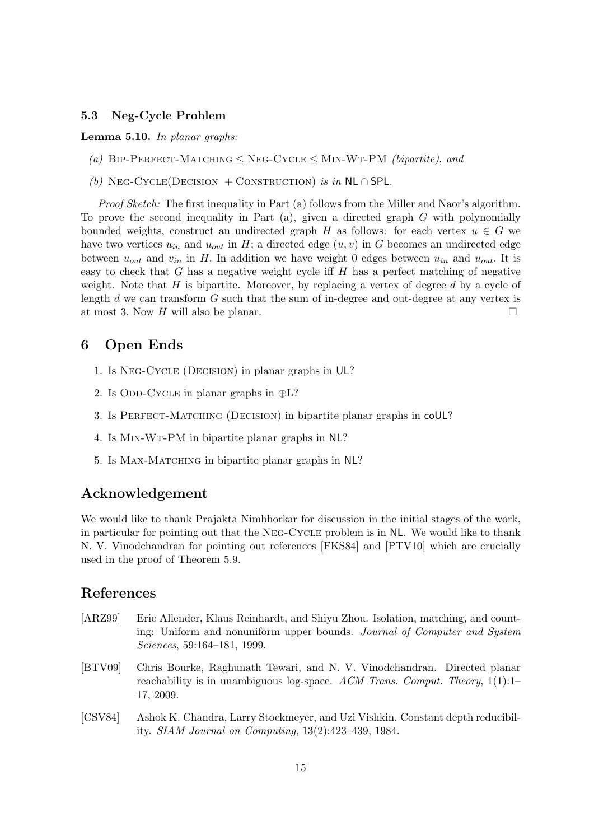## 5.3 Neg-Cycle Problem

#### Lemma 5.10. In planar graphs:

- (a) BIP-PERFECT-MATCHING  $\leq$  NEG-CYCLE  $\leq$  MIN-WT-PM (bipartite), and
- (b) NEG-CYCLE(DECISION + CONSTRUCTION) is in NL ∩ SPL.

Proof Sketch: The first inequality in Part (a) follows from the Miller and Naor's algorithm. To prove the second inequality in Part  $(a)$ , given a directed graph G with polynomially bounded weights, construct an undirected graph H as follows: for each vertex  $u \in G$  we have two vertices  $u_{in}$  and  $u_{out}$  in H; a directed edge  $(u, v)$  in G becomes an undirected edge between  $u_{out}$  and  $v_{in}$  in H. In addition we have weight 0 edges between  $u_{in}$  and  $u_{out}$ . It is easy to check that  $G$  has a negative weight cycle iff  $H$  has a perfect matching of negative weight. Note that  $H$  is bipartite. Moreover, by replacing a vertex of degree  $d$  by a cycle of length  $d$  we can transform  $G$  such that the sum of in-degree and out-degree at any vertex is at most 3. Now H will also be planar.

## 6 Open Ends

- 1. Is Neg-Cycle (Decision) in planar graphs in UL?
- 2. Is ODD-CYCLE in planar graphs in  $\oplus L$ ?
- 3. Is PERFECT-MATCHING (DECISION) in bipartite planar graphs in coUL?
- 4. Is Min-Wt-PM in bipartite planar graphs in NL?
- 5. Is Max-Matching in bipartite planar graphs in NL?

# Acknowledgement

We would like to thank Prajakta Nimbhorkar for discussion in the initial stages of the work, in particular for pointing out that the Neg-Cycle problem is in NL. We would like to thank N. V. Vinodchandran for pointing out references [FKS84] and [PTV10] which are crucially used in the proof of Theorem 5.9.

# References

- [ARZ99] Eric Allender, Klaus Reinhardt, and Shiyu Zhou. Isolation, matching, and counting: Uniform and nonuniform upper bounds. Journal of Computer and System Sciences, 59:164–181, 1999.
- [BTV09] Chris Bourke, Raghunath Tewari, and N. V. Vinodchandran. Directed planar reachability is in unambiguous log-space. ACM Trans. Comput. Theory,  $1(1)$ :1– 17, 2009.
- [CSV84] Ashok K. Chandra, Larry Stockmeyer, and Uzi Vishkin. Constant depth reducibility. SIAM Journal on Computing, 13(2):423–439, 1984.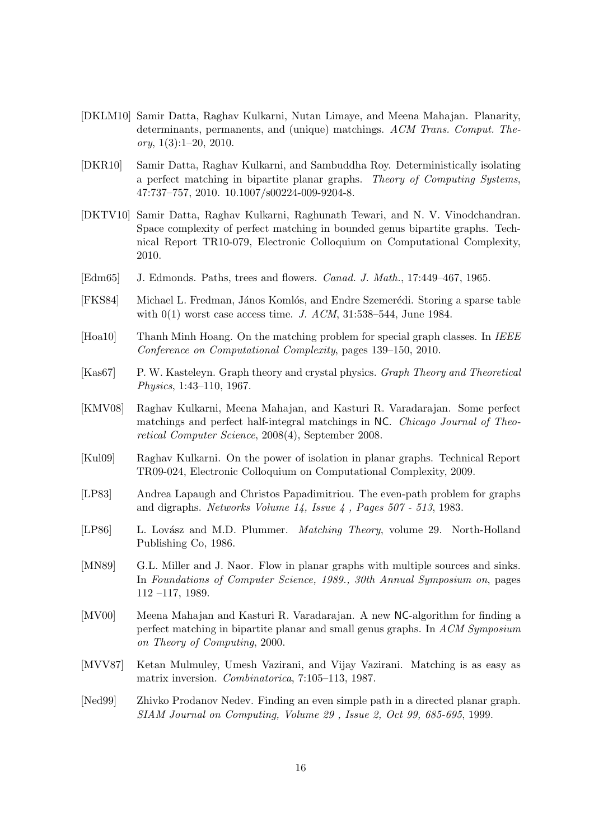- [DKLM10] Samir Datta, Raghav Kulkarni, Nutan Limaye, and Meena Mahajan. Planarity, determinants, permanents, and (unique) matchings. ACM Trans. Comput. The- $\textit{ory}, 1(3):1-20, 2010.$
- [DKR10] Samir Datta, Raghav Kulkarni, and Sambuddha Roy. Deterministically isolating a perfect matching in bipartite planar graphs. Theory of Computing Systems, 47:737–757, 2010. 10.1007/s00224-009-9204-8.
- [DKTV10] Samir Datta, Raghav Kulkarni, Raghunath Tewari, and N. V. Vinodchandran. Space complexity of perfect matching in bounded genus bipartite graphs. Technical Report TR10-079, Electronic Colloquium on Computational Complexity, 2010.
- [Edm65] J. Edmonds. Paths, trees and flowers. Canad. J. Math., 17:449–467, 1965.
- [FKS84] Michael L. Fredman, János Komlós, and Endre Szemerédi. Storing a sparse table with  $0(1)$  worst case access time. J. ACM, 31:538-544, June 1984.
- [Hoa10] Thanh Minh Hoang. On the matching problem for special graph classes. In IEEE Conference on Computational Complexity, pages 139–150, 2010.
- [Kas67] P. W. Kasteleyn. Graph theory and crystal physics. Graph Theory and Theoretical Physics, 1:43–110, 1967.
- [KMV08] Raghav Kulkarni, Meena Mahajan, and Kasturi R. Varadarajan. Some perfect matchings and perfect half-integral matchings in NC. Chicago Journal of Theoretical Computer Science, 2008(4), September 2008.
- [Kul09] Raghav Kulkarni. On the power of isolation in planar graphs. Technical Report TR09-024, Electronic Colloquium on Computational Complexity, 2009.
- [LP83] Andrea Lapaugh and Christos Papadimitriou. The even-path problem for graphs and digraphs. Networks Volume 14, Issue 4 , Pages 507 - 513, 1983.
- [LP86] L. Lovász and M.D. Plummer. *Matching Theory*, volume 29. North-Holland Publishing Co, 1986.
- [MN89] G.L. Miller and J. Naor. Flow in planar graphs with multiple sources and sinks. In Foundations of Computer Science, 1989., 30th Annual Symposium on, pages 112 –117, 1989.
- [MV00] Meena Mahajan and Kasturi R. Varadarajan. A new NC-algorithm for finding a perfect matching in bipartite planar and small genus graphs. In ACM Symposium on Theory of Computing, 2000.
- [MVV87] Ketan Mulmuley, Umesh Vazirani, and Vijay Vazirani. Matching is as easy as matrix inversion. Combinatorica, 7:105–113, 1987.
- [Ned99] Zhivko Prodanov Nedev. Finding an even simple path in a directed planar graph. SIAM Journal on Computing, Volume 29 , Issue 2, Oct 99, 685-695, 1999.